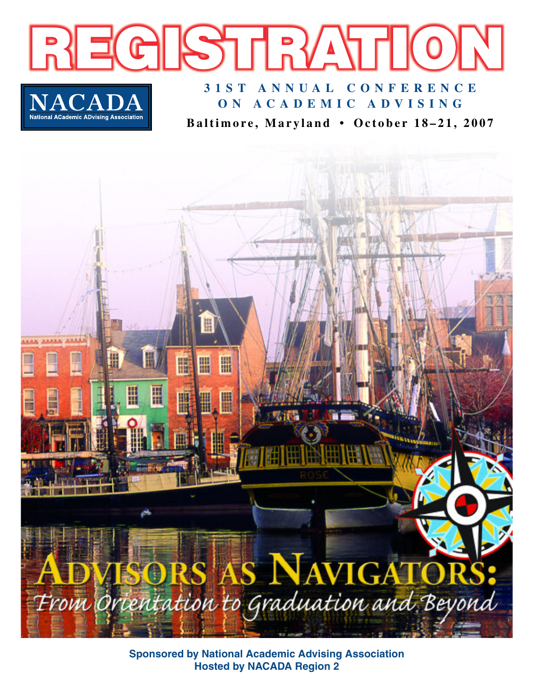

**Baltimore, Maryland • October 18–21, 2007**



**Sponsored by National Academic Advising Association Hosted by NACADA Region 2**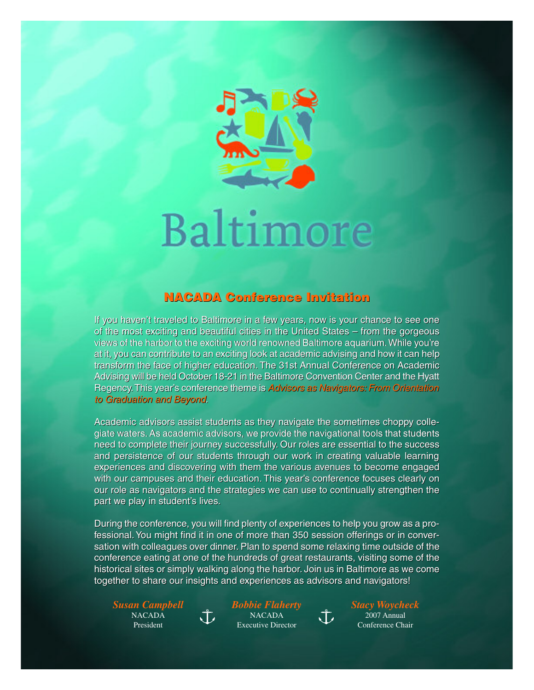![](_page_1_Picture_0.jpeg)

# Baltimore

# **NACADA Conference Invitation NACADA Conference Invitation**

If you haven't traveled to Baltimore in a few years, now is your chance to see one If you haven't traveled to Baltimore in a few years, now is your chance to see one of the most exciting and beautiful cities in the United States – from the gorgeous of the most exciting and beautiful cities in the United States – from the gorgeous views of the harbor to the exciting world renowned Baltimore aquarium.While you're views of the harbor to the exciting world renowned Baltimore aquarium.While you're at it, you can contribute to an exciting look at academic advising and how it can help at it, you can contribute to an exciting look at academic advising and how it can help transform the face of higher education. The 31st Annual Conference on Academic transform the face of higher education. The 31st Annual Conference on Academic Advising will be held October 18-21 in the Baltimore Convention Center and the Hyatt Advising will be held October 18-21 in the Baltimore Convention Center and the Hyatt Regency. This year's conference theme is Advisors as Navigators: From Orientation to Graduation and Beyond. to Graduation and Beyond.

Academic advisors assist students as they navigate the sometimes choppy colle-Academic advisors assist students as they navigate the sometimes choppy collegiate waters.As academic advisors, we provide the navigational tools that students giate waters. As academic advisors, we provide the navigational tools that students need to complete their journey successfully. Our roles are essential to the success need to complete their journey successfully. Our roles are essential to the success and persistence of our students through our work in creating valuable learning and persistence of our students through our work in creating valuable learning experiences and discovering with them the various avenues to become engaged experiences and discovering with them the various avenues to become engaged with our campuses and their education. This year's conference focuses clearly on with our campuses and their education. This year's conference focuses clearly on our role as navigators and the strategies we can use to continually strengthen the part we play in student's lives. part we play in student's lives.

During the conference, you will find plenty of experiences to help you grow as a pro-During the conference, you will find plenty of experiences to help you grow as a professional.You might find it in one of more than 350 session offerings or in conver-fessional. You might find it in one of more than 350 session offerings or in conversation with colleagues over dinner. Plan to spend some relaxing time outside of the sation with colleagues over dinner. Plan to spend some relaxing time outside of the conference eating at one of the hundreds of great restaurants, visiting some of the conference eating at one of the hundreds of great restaurants, visiting some of the historical sites or simply walking along the harbor. Join us in Baltimore as we come historical sites or simply walking along the harbor. Join us in Baltimore as we come together to share our insights and experiences as advisors and navigators! together to share our insights and experiences as advisors and navigators!

*Susan Campbell* NACADA President

*Bobbie Flaherty* NACADA Executive Director

 $\mathring{\downarrow}$ 

 $\sqrt{L}$ 

*Stacy Woycheck* 2007 Annual Conference Chair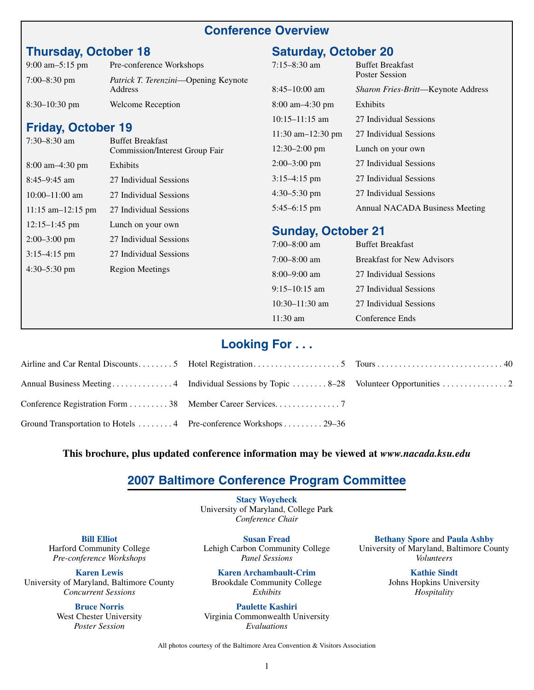#### **Conference Overview**

# **Thursday, October 18**

| $9:00 \text{ am}-5:15 \text{ pm}$ | Pre-conference Workshops                                |
|-----------------------------------|---------------------------------------------------------|
| $7:00 - 8:30$ pm                  | <i>Patrick T. Terenzini</i> —Opening Keynote<br>Address |
| $8:30-10:30$ pm                   | <b>Welcome Reception</b>                                |

#### **Friday, October 19**

| $7:30 - 8:30$ am                    | <b>Buffet Breakfast</b><br><b>Commission/Interest Group Fair</b> |
|-------------------------------------|------------------------------------------------------------------|
| $8:00 \text{ am} - 4:30 \text{ pm}$ | Exhibits                                                         |
| $8:45-9:45$ am                      | 27 Individual Sessions                                           |
| $10:00-11:00$ am                    | 27 Individual Sessions                                           |
| $11:15$ am-12:15 pm                 | 27 Individual Sessions                                           |
| $12:15-1:45$ pm                     | Lunch on your own                                                |
| $2:00-3:00$ pm                      | 27 Individual Sessions                                           |
| $3:15-4:15$ pm                      | 27 Individual Sessions                                           |
| $4:30-5:30$ pm                      | <b>Region Meetings</b>                                           |
|                                     |                                                                  |
|                                     |                                                                  |

## **Saturday, October 20**

| $7:15 - 8:30$ am                    | <b>Buffet Breakfast</b><br><b>Poster Session</b> |
|-------------------------------------|--------------------------------------------------|
| $8:45-10:00$ am                     | <i>Sharon Fries-Britt</i> —Keynote Address       |
| $8:00 \text{ am} - 4:30 \text{ pm}$ | Exhibits                                         |
| $10:15-11:15$ am                    | 27 Individual Sessions                           |
| 11:30 am $-12:30$ pm                | 27 Individual Sessions                           |
| $12:30 - 2:00$ pm                   | Lunch on your own                                |
| $2:00-3:00$ pm                      | 27 Individual Sessions                           |
| $3:15-4:15$ pm                      | 27 Individual Sessions                           |
| $4:30-5:30$ pm                      | 27 Individual Sessions                           |
| $5:45-6:15$ pm                      | Annual NACADA Business Meeting                   |

#### **Sunday, October 21**

| $7:00 - 8:00$ am | <b>Buffet Breakfast</b>           |
|------------------|-----------------------------------|
| $7:00 - 8:00$ am | <b>Breakfast for New Advisors</b> |
| $8:00-9:00$ am   | 27 Individual Sessions            |
| $9:15-10:15$ am  | 27 Individual Sessions            |
| $10:30-11:30$ am | 27 Individual Sessions            |
| $11:30$ am       | Conference Ends                   |

#### **Looking For . . .**

| Conference Registration Form 38 Member Career Services. 7          |  |
|--------------------------------------------------------------------|--|
| Ground Transportation to Hotels  4 Pre-conference Workshops  29–36 |  |

#### **This brochure, plus updated conference information may be viewed at** *www.nacada.ksu.edu*

#### **2007 Baltimore Conference Program Committee**

**Stacy Woycheck** University of Maryland, College Park *Conference Chair*

**Bill Elliot** Harford Community College *Pre-conference Workshops*

**Karen Lewis** University of Maryland, Baltimore County *Concurrent Sessions*

> **Bruce Norris** West Chester University *Poster Session*

**Susan Fread** Lehigh Carbon Community College *Panel Sessions*

**Karen Archambault-Crim** Brookdale Community College *Exhibits*

**Paulette Kashiri** Virginia Commonwealth University *Evaluations*

**Bethany Spore** and **Paula Ashby** University of Maryland, Baltimore County *Volunteers*

> **Kathie Sindt** Johns Hopkins University *Hospitality*

All photos courtesy of the Baltimore Area Convention & Visitors Association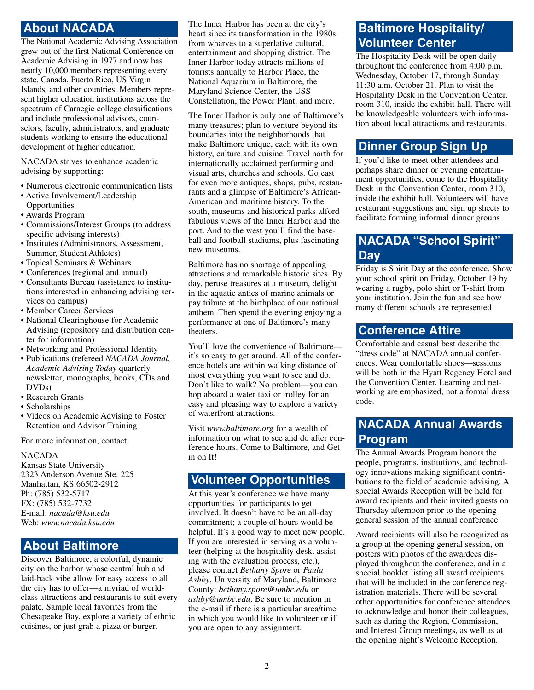# **About NACADA**

The National Academic Advising Association grew out of the first National Conference on Academic Advising in 1977 and now has nearly 10,000 members representing every state, Canada, Puerto Rico, US Virgin Islands, and other countries. Members represent higher education institutions across the spectrum of Carnegie college classifications and include professional advisors, counselors, faculty, administrators, and graduate students working to ensure the educational development of higher education.

NACADA strives to enhance academic advising by supporting:

- Numerous electronic communication lists
- Active Involvement/Leadership
- Opportunities
- Awards Program
- Commissions/Interest Groups (to address specific advising interests)
- Institutes (Administrators, Assessment, Summer, Student Athletes)
- Topical Seminars & Webinars
- Conferences (regional and annual)
- Consultants Bureau (assistance to institutions interested in enhancing advising services on campus)
- Member Career Services
- National Clearinghouse for Academic Advising (repository and distribution center for information)
- Networking and Professional Identity
- Publications (refereed *NACADA Journal*, *Academic Advising Today* quarterly newsletter, monographs, books, CDs and DVDs)
- Research Grants
- Scholarships
- Videos on Academic Advising to Foster Retention and Advisor Training

For more information, contact:

#### NACADA

Kansas State University 2323 Anderson Avenue Ste. 225 Manhattan, KS 66502-2912 Ph: (785) 532-5717 FX: (785) 532-7732 E-mail: *nacada@ksu.edu* Web: *www.nacada.ksu.edu*

#### **About Baltimore**

Discover Baltimore, a colorful, dynamic city on the harbor whose central hub and laid-back vibe allow for easy access to all the city has to offer—a myriad of worldclass attractions and restaurants to suit every palate. Sample local favorites from the Chesapeake Bay, explore a variety of ethnic cuisines, or just grab a pizza or burger.

The Inner Harbor has been at the city's heart since its transformation in the 1980s from wharves to a superlative cultural, entertainment and shopping district. The Inner Harbor today attracts millions of tourists annually to Harbor Place, the National Aquarium in Baltimore, the Maryland Science Center, the USS Constellation, the Power Plant, and more.

The Inner Harbor is only one of Baltimore's many treasures; plan to venture beyond its boundaries into the neighborhoods that make Baltimore unique, each with its own history, culture and cuisine. Travel north for internationally acclaimed performing and visual arts, churches and schools. Go east for even more antiques, shops, pubs, restaurants and a glimpse of Baltimore's African-American and maritime history. To the south, museums and historical parks afford fabulous views of the Inner Harbor and the port. And to the west you'll find the baseball and football stadiums, plus fascinating new museums.

Baltimore has no shortage of appealing attractions and remarkable historic sites. By day, peruse treasures at a museum, delight in the aquatic antics of marine animals or pay tribute at the birthplace of our national anthem. Then spend the evening enjoying a performance at one of Baltimore's many theaters.

You'll love the convenience of Baltimore it's so easy to get around. All of the conference hotels are within walking distance of most everything you want to see and do. Don't like to walk? No problem—you can hop aboard a water taxi or trolley for an easy and pleasing way to explore a variety of waterfront attractions.

Visit *www.baltimore.org* for a wealth of information on what to see and do after conference hours. Come to Baltimore, and Get in on It!

# **Volunteer Opportunities**

At this year's conference we have many opportunities for participants to get involved. It doesn't have to be an all-day commitment; a couple of hours would be helpful. It's a good way to meet new people. If you are interested in serving as a volunteer (helping at the hospitality desk, assisting with the evaluation process, etc.), please contact *Bethany Spore* or *Paula Ashby*, University of Maryland, Baltimore County: *bethany.spore@umbc.edu* or *ashby@umbc.edu*. Be sure to mention in the e-mail if there is a particular area/time in which you would like to volunteer or if you are open to any assignment.

# **Baltimore Hospitality/ Volunteer Center**

The Hospitality Desk will be open daily throughout the conference from 4:00 p.m. Wednesday, October 17, through Sunday 11:30 a.m. October 21. Plan to visit the Hospitality Desk in the Convention Center, room 310, inside the exhibit hall. There will be knowledgeable volunteers with information about local attractions and restaurants.

#### **Dinner Group Sign Up**

If you'd like to meet other attendees and perhaps share dinner or evening entertainment opportunities, come to the Hospitality Desk in the Convention Center, room 310, inside the exhibit hall. Volunteers will have restaurant suggestions and sign up sheets to facilitate forming informal dinner groups

#### **NACADA "School Spirit" Day**

Friday is Spirit Day at the conference. Show your school spirit on Friday, October 19 by wearing a rugby, polo shirt or T-shirt from your institution. Join the fun and see how many different schools are represented!

#### **Conference Attire**

Comfortable and casual best describe the "dress code" at NACADA annual conferences. Wear comfortable shoes—sessions will be both in the Hyatt Regency Hotel and the Convention Center. Learning and networking are emphasized, not a formal dress code.

# **NACADA Annual Awards Program**

The Annual Awards Program honors the people, programs, institutions, and technology innovations making significant contributions to the field of academic advising. A special Awards Reception will be held for award recipients and their invited guests on Thursday afternoon prior to the opening general session of the annual conference.

Award recipients will also be recognized as a group at the opening general session, on posters with photos of the awardees displayed throughout the conference, and in a special booklet listing all award recipients that will be included in the conference registration materials. There will be several other opportunities for conference attendees to acknowledge and honor their colleagues, such as during the Region, Commission, and Interest Group meetings, as well as at the opening night's Welcome Reception.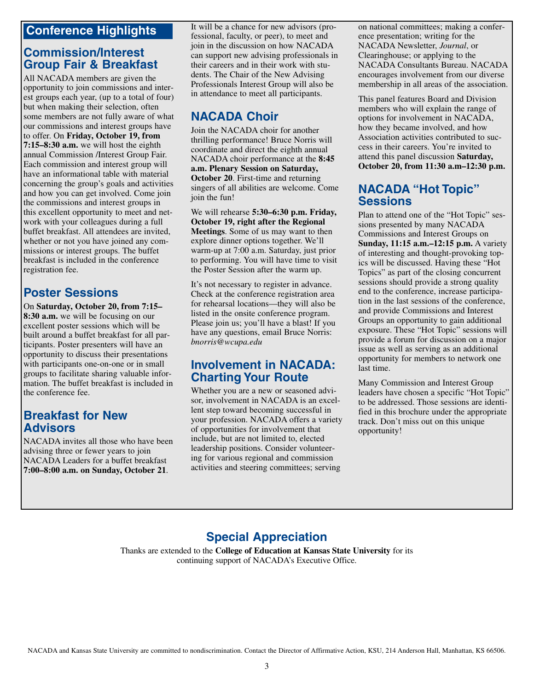#### **Conference Highlights**

#### **Commission/Interest Group Fair & Breakfast**

All NACADA members are given the opportunity to join commissions and interest groups each year, (up to a total of four) but when making their selection, often some members are not fully aware of what our commissions and interest groups have to offer. On **Friday, October 19, from 7:15–8:30 a.m.** we will host the eighth annual Commission /Interest Group Fair. Each commission and interest group will have an informational table with material concerning the group's goals and activities and how you can get involved. Come join the commissions and interest groups in this excellent opportunity to meet and network with your colleagues during a full buffet breakfast. All attendees are invited, whether or not you have joined any commissions or interest groups. The buffet breakfast is included in the conference registration fee.

## **Poster Sessions**

On **Saturday, October 20, from 7:15– 8:30 a.m.** we will be focusing on our excellent poster sessions which will be built around a buffet breakfast for all participants. Poster presenters will have an opportunity to discuss their presentations with participants one-on-one or in small groups to facilitate sharing valuable information. The buffet breakfast is included in the conference fee.

#### **Breakfast for New Advisors**

NACADA invites all those who have been advising three or fewer years to join NACADA Leaders for a buffet breakfast **7:00–8:00 a.m. on Sunday, October 21**.

It will be a chance for new advisors (professional, faculty, or peer), to meet and join in the discussion on how NACADA can support new advising professionals in their careers and in their work with students. The Chair of the New Advising Professionals Interest Group will also be in attendance to meet all participants.

#### **NACADA Choir**

Join the NACADA choir for another thrilling performance! Bruce Norris will coordinate and direct the eighth annual NACADA choir performance at the **8:45 a.m. Plenary Session on Saturday, October 20**. First-time and returning singers of all abilities are welcome. Come join the fun!

We will rehearse **5:30–6:30 p.m. Friday, October 19, right after the Regional Meetings**. Some of us may want to then explore dinner options together. We'll warm-up at 7:00 a.m. Saturday, just prior to performing. You will have time to visit the Poster Session after the warm up.

It's not necessary to register in advance. Check at the conference registration area for rehearsal locations—they will also be listed in the onsite conference program. Please join us; you'll have a blast! If you have any questions, email Bruce Norris: *bnorris@wcupa.edu*

#### **Involvement in NACADA: Charting Your Route**

Whether you are a new or seasoned advisor, involvement in NACADA is an excellent step toward becoming successful in your profession. NACADA offers a variety of opportunities for involvement that include, but are not limited to, elected leadership positions. Consider volunteering for various regional and commission activities and steering committees; serving

on national committees; making a conference presentation; writing for the NACADA Newsletter, *Journal*, or Clearinghouse; or applying to the NACADA Consultants Bureau. NACADA encourages involvement from our diverse membership in all areas of the association.

This panel features Board and Division members who will explain the range of options for involvement in NACADA, how they became involved, and how Association activities contributed to success in their careers. You're invited to attend this panel discussion **Saturday, October 20, from 11:30 a.m–12:30 p.m.**

#### **NACADA "Hot Topic" Sessions**

Plan to attend one of the "Hot Topic" sessions presented by many NACADA Commissions and Interest Groups on **Sunday, 11:15 a.m.–12:15 p.m.** A variety of interesting and thought-provoking topics will be discussed. Having these "Hot Topics" as part of the closing concurrent sessions should provide a strong quality end to the conference, increase participation in the last sessions of the conference, and provide Commissions and Interest Groups an opportunity to gain additional exposure. These "Hot Topic" sessions will provide a forum for discussion on a major issue as well as serving as an additional opportunity for members to network one last time.

Many Commission and Interest Group leaders have chosen a specific "Hot Topic" to be addressed. Those sessions are identified in this brochure under the appropriate track. Don't miss out on this unique opportunity!

## **Special Appreciation**

Thanks are extended to the **College of Education at Kansas State University** for its continuing support of NACADA's Executive Office.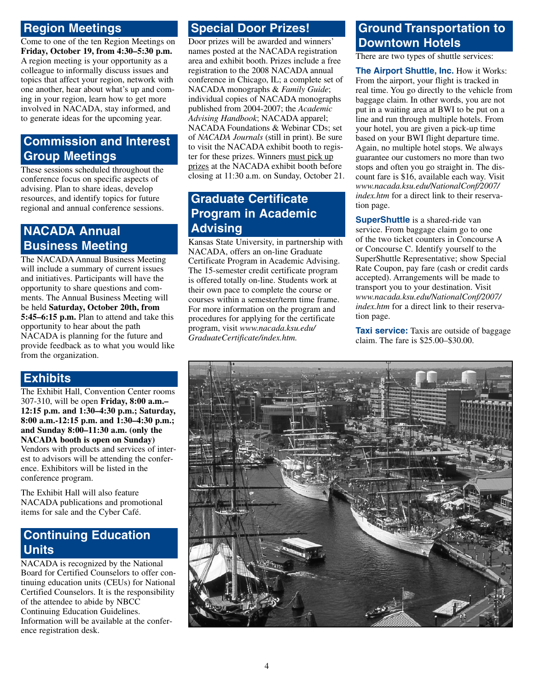#### **Region Meetings**

Come to one of the ten Region Meetings on **Friday, October 19, from 4:30–5:30 p.m.** A region meeting is your opportunity as a colleague to informally discuss issues and topics that affect your region, network with one another, hear about what's up and coming in your region, learn how to get more involved in NACADA, stay informed, and to generate ideas for the upcoming year.

## **Commission and Interest Group Meetings**

These sessions scheduled throughout the conference focus on specific aspects of advising. Plan to share ideas, develop resources, and identify topics for future regional and annual conference sessions.

# **NACADA Annual Business Meeting**

The NACADA Annual Business Meeting will include a summary of current issues and initiatives. Participants will have the opportunity to share questions and comments. The Annual Business Meeting will be held **Saturday, October 20th, from 5:45–6:15 p.m.** Plan to attend and take this opportunity to hear about the path NACADA is planning for the future and provide feedback as to what you would like from the organization.

#### **Exhibits**

The Exhibit Hall, Convention Center rooms 307-310, will be open **Friday, 8:00 a.m.– 12:15 p.m. and 1:30–4:30 p.m.; Saturday, 8:00 a.m.-12:15 p.m. and 1:30–4:30 p.m.; and Sunday 8:00–11:30 a.m. (only the NACADA booth is open on Sunday)** Vendors with products and services of interest to advisors will be attending the conference. Exhibitors will be listed in the conference program.

The Exhibit Hall will also feature NACADA publications and promotional items for sale and the Cyber Café.

#### **Continuing Education Units**

NACADA is recognized by the National Board for Certified Counselors to offer continuing education units (CEUs) for National Certified Counselors. It is the responsibility of the attendee to abide by NBCC Continuing Education Guidelines. Information will be available at the conference registration desk.

# **Special Door Prizes!**

Door prizes will be awarded and winners' names posted at the NACADA registration area and exhibit booth. Prizes include a free registration to the 2008 NACADA annual conference in Chicago, IL; a complete set of NACADA monographs & *Family Guide*; individual copies of NACADA monographs published from 2004-2007; the *Academic Advising Handbook*; NACADA apparel; NACADA Foundations & Webinar CDs; set of *NACADA Journals* (still in print). Be sure to visit the NACADA exhibit booth to register for these prizes. Winners must pick up prizes at the NACADA exhibit booth before closing at 11:30 a.m. on Sunday, October 21.

## **Graduate Certificate Program in Academic Advising**

Kansas State University, in partnership with NACADA, offers an on-line Graduate Certificate Program in Academic Advising. The 15-semester credit certificate program is offered totally on-line. Students work at their own pace to complete the course or courses within a semester/term time frame. For more information on the program and procedures for applying for the certificate program, visit *www.nacada.ksu.edu/ GraduateCertificate/index.htm.*

# **Ground Transportation to Downtown Hotels**

There are two types of shuttle services:

**The Airport Shuttle, Inc.** How it Works: From the airport, your flight is tracked in real time. You go directly to the vehicle from baggage claim. In other words, you are not put in a waiting area at BWI to be put on a line and run through multiple hotels. From your hotel, you are given a pick-up time based on your BWI flight departure time. Again, no multiple hotel stops. We always guarantee our customers no more than two stops and often you go straight in. The discount fare is \$16, available each way. Visit *www.nacada.ksu.edu/NationalConf/2007/ index.htm* for a direct link to their reservation page.

**SuperShuttle** is a shared-ride van service. From baggage claim go to one of the two ticket counters in Concourse A or Concourse C. Identify yourself to the SuperShuttle Representative; show Special Rate Coupon, pay fare (cash or credit cards accepted). Arrangements will be made to transport you to your destination. Visit *www.nacada.ksu.edu/NationalConf/2007/ index.htm* for a direct link to their reservation page.

**Taxi service:** Taxis are outside of baggage claim. The fare is \$25.00–\$30.00.

![](_page_5_Picture_20.jpeg)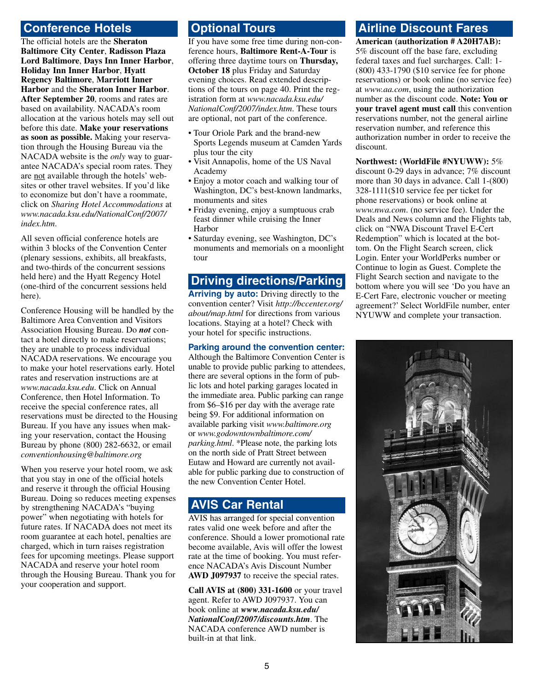#### **Conference Hotels**

The official hotels are the **Sheraton Baltimore City Center**, **Radisson Plaza Lord Baltimore**, **Days Inn Inner Harbor**, **Holiday Inn Inner Harbor**, **Hyatt Regency Baltimore**, **Marriott Inner Harbor** and the **Sheraton Inner Harbor**. **After September 20**, rooms and rates are based on availability. NACADA's room allocation at the various hotels may sell out before this date. **Make your reservations as soon as possible.** Making your reservation through the Housing Bureau via the NACADA website is the *only* way to guarantee NACADA's special room rates. They are not available through the hotels' websites or other travel websites. If you'd like to economize but don't have a roommate, click on *Sharing Hotel Accommodations* at *www.nacada.ksu.edu/NationalConf/2007/ index.htm*.

All seven official conference hotels are within 3 blocks of the Convention Center (plenary sessions, exhibits, all breakfasts, and two-thirds of the concurrent sessions held here) and the Hyatt Regency Hotel (one-third of the concurrent sessions held here).

Conference Housing will be handled by the Baltimore Area Convention and Visitors Association Housing Bureau. Do *not* contact a hotel directly to make reservations; they are unable to process individual NACADA reservations. We encourage you to make your hotel reservations early. Hotel rates and reservation instructions are at *www.nacada.ksu.edu*. Click on Annual Conference, then Hotel Information. To receive the special conference rates, all reservations must be directed to the Housing Bureau. If you have any issues when making your reservation, contact the Housing Bureau by phone (800) 282-6632, or email *conventionhousing@baltimore.org*

When you reserve your hotel room, we ask that you stay in one of the official hotels and reserve it through the official Housing Bureau. Doing so reduces meeting expenses by strengthening NACADA's "buying power" when negotiating with hotels for future rates. If NACADA does not meet its room guarantee at each hotel, penalties are charged, which in turn raises registration fees for upcoming meetings. Please support NACADA and reserve your hotel room through the Housing Bureau. Thank you for your cooperation and support.

## **Optional Tours**

If you have some free time during non-conference hours, **Baltimore Rent-A-Tour** is offering three daytime tours on **Thursday, October 18** plus Friday and Saturday evening choices. Read extended descriptions of the tours on page 40. Print the registration form at *www.nacada.ksu.edu/ NationalConf/2007/index.htm*. These tours are optional, not part of the conference.

- Tour Oriole Park and the brand-new Sports Legends museum at Camden Yards plus tour the city
- Visit Annapolis, home of the US Naval Academy
- Enjoy a motor coach and walking tour of Washington, DC's best-known landmarks, monuments and sites
- Friday evening, enjoy a sumptuous crab feast dinner while cruising the Inner Harbor
- Saturday evening, see Washington, DC's monuments and memorials on a moonlight tour

#### **Driving directions/Parking**

**Arriving by auto:** Driving directly to the convention center? Visit *http://bccenter.org/ about/map.html* for directions from various locations. Staying at a hotel? Check with your hotel for specific instructions.

#### **Parking around the convention center:**

Although the Baltimore Convention Center is unable to provide public parking to attendees, there are several options in the form of public lots and hotel parking garages located in the immediate area. Public parking can range from \$6–\$16 per day with the average rate being \$9. For additional information on available parking visit *www.baltimore.org* or *www.godowntownbaltimore.com/ parking.html*. \*Please note, the parking lots on the north side of Pratt Street between Eutaw and Howard are currently not available for public parking due to construction of the new Convention Center Hotel.

#### **AVIS Car Rental**

AVIS has arranged for special convention rates valid one week before and after the conference. Should a lower promotional rate become available, Avis will offer the lowest rate at the time of booking. You must reference NACADA's Avis Discount Number **AWD J097937** to receive the special rates.

**Call AVIS at (800) 331-1600** or your travel agent. Refer to AWD J097937. You can book online at *www.nacada.ksu.edu/ NationalConf/2007/discounts.htm*. The NACADA conference AWD number is built-in at that link.

# **Airline Discount Fares**

**American (authorization # A20H7AB):** 5% discount off the base fare, excluding federal taxes and fuel surcharges. Call: 1- (800) 433-1790 (\$10 service fee for phone reservations) or book online (no service fee) at *www.aa.com*, using the authorization number as the discount code. **Note: You or your travel agent must call** this convention reservations number, not the general airline reservation number, and reference this authorization number in order to receive the discount.

**Northwest: (WorldFile #NYUWW):** 5% discount 0-29 days in advance; 7% discount more than 30 days in advance. Call 1-(800) 328-1111(\$10 service fee per ticket for phone reservations) or book online at *www.nwa.com*. (no service fee). Under the Deals and News column and the Flights tab, click on "NWA Discount Travel E-Cert Redemption" which is located at the bottom. On the Flight Search screen, click Login. Enter your WorldPerks number or Continue to login as Guest. Complete the Flight Search section and navigate to the bottom where you will see 'Do you have an E-Cert Fare, electronic voucher or meeting agreement?' Select WorldFile number, enter NYUWW and complete your transaction.

![](_page_6_Picture_22.jpeg)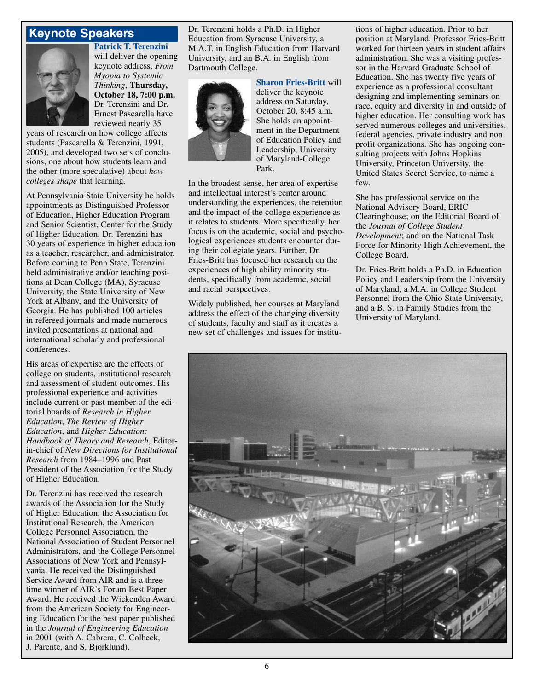#### **Keynote Speakers**

![](_page_7_Picture_1.jpeg)

**Patrick T. Terenzini** will deliver the opening keynote address, *From Myopia to Systemic Thinking*, **Thursday, October 18, 7:00 p.m.** Dr. Terenzini and Dr. Ernest Pascarella have reviewed nearly 35

years of research on how college affects students (Pascarella & Terenzini, 1991, 2005), and developed two sets of conclusions, one about how students learn and the other (more speculative) about *how colleges shape* that learning.

At Pennsylvania State University he holds appointments as Distinguished Professor of Education, Higher Education Program and Senior Scientist, Center for the Study of Higher Education. Dr. Terenzini has 30 years of experience in higher education as a teacher, researcher, and administrator. Before coming to Penn State, Terenzini held administrative and/or teaching positions at Dean College (MA), Syracuse University, the State University of New York at Albany, and the University of Georgia. He has published 100 articles in refereed journals and made numerous invited presentations at national and international scholarly and professional conferences.

His areas of expertise are the effects of college on students, institutional research and assessment of student outcomes. His professional experience and activities include current or past member of the editorial boards of *Research in Higher Education*, *The Review of Higher Education*, and *Higher Education: Handbook of Theory and Research*, Editorin-chief of *New Directions for Institutional Research* from 1984–1996 and Past President of the Association for the Study of Higher Education.

Dr. Terenzini has received the research awards of the Association for the Study of Higher Education, the Association for Institutional Research, the American College Personnel Association, the National Association of Student Personnel Administrators, and the College Personnel Associations of New York and Pennsylvania. He received the Distinguished Service Award from AIR and is a threetime winner of AIR's Forum Best Paper Award. He received the Wickenden Award from the American Society for Engineering Education for the best paper published in the *Journal of Engineering Education* in 2001 (with A. Cabrera, C. Colbeck, J. Parente, and S. Bjorklund).

Dr. Terenzini holds a Ph.D. in Higher Education from Syracuse University, a M.A.T. in English Education from Harvard University, and an B.A. in English from Dartmouth College.

![](_page_7_Picture_8.jpeg)

**Sharon Fries-Britt** will deliver the keynote address on Saturday, October 20, 8:45 a.m. She holds an appointment in the Department of Education Policy and Leadership, University of Maryland-College Park.

In the broadest sense, her area of expertise and intellectual interest's center around understanding the experiences, the retention and the impact of the college experience as it relates to students. More specifically, her focus is on the academic, social and psychological experiences students encounter during their collegiate years. Further, Dr. Fries-Britt has focused her research on the experiences of high ability minority students, specifically from academic, social and racial perspectives.

Widely published, her courses at Maryland address the effect of the changing diversity of students, faculty and staff as it creates a new set of challenges and issues for institu-

tions of higher education. Prior to her position at Maryland, Professor Fries-Britt worked for thirteen years in student affairs administration. She was a visiting professor in the Harvard Graduate School of Education. She has twenty five years of experience as a professional consultant designing and implementing seminars on race, equity and diversity in and outside of higher education. Her consulting work has served numerous colleges and universities, federal agencies, private industry and non profit organizations. She has ongoing consulting projects with Johns Hopkins University, Princeton University, the United States Secret Service, to name a few.

She has professional service on the National Advisory Board, ERIC Clearinghouse; on the Editorial Board of the *Journal of College Student Development*; and on the National Task Force for Minority High Achievement, the College Board.

Dr. Fries-Britt holds a Ph.D. in Education Policy and Leadership from the University of Maryland, a M.A. in College Student Personnel from the Ohio State University, and a B. S. in Family Studies from the University of Maryland.

![](_page_7_Picture_15.jpeg)